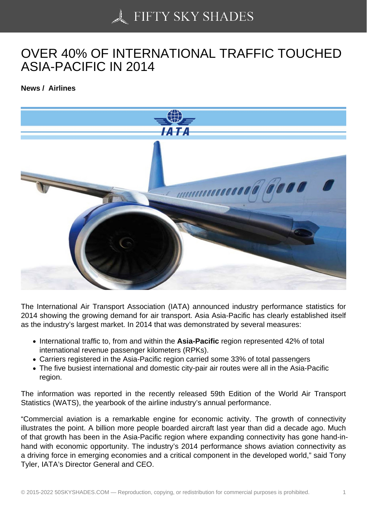## [OVER 40% OF INTER](https://50skyshades.com)NATIONAL TRAFFIC TOUCHED ASIA-PACIFIC IN 2014

News / Airlines

The International Air Transport Association (IATA) announced industry performance statistics for 2014 showing the growing demand for air transport. Asia Asia-Pacific has clearly established itself as the industry's largest market. In 2014 that was demonstrated by several measures:

- International traffic to, from and within the Asia-Pacific region represented 42% of total international revenue passenger kilometers (RPKs).
- Carriers registered in the Asia-Pacific region carried some 33% of total passengers
- The five busiest international and domestic city-pair air routes were all in the Asia-Pacific region.

The information was reported in the recently released 59th Edition of the World Air Transport Statistics (WATS), the yearbook of the airline industry's annual performance.

"Commercial aviation is a remarkable engine for economic activity. The growth of connectivity illustrates the point. A billion more people boarded aircraft last year than did a decade ago. Much of that growth has been in the Asia-Pacific region where expanding connectivity has gone hand-inhand with economic opportunity. The industry's 2014 performance shows aviation connectivity as a driving force in emerging economies and a critical component in the developed world," said Tony Tyler, IATA's Director General and CEO.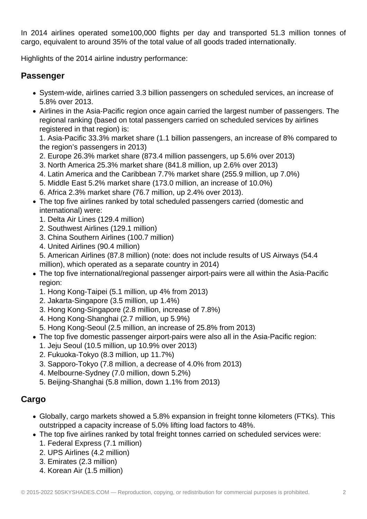In 2014 airlines operated some100,000 flights per day and transported 51.3 million tonnes of cargo, equivalent to around 35% of the total value of all goods traded internationally.

Highlights of the 2014 airline industry performance:

## **Passenger**

- System-wide, airlines carried 3.3 billion passengers on scheduled services, an increase of 5.8% over 2013.
- Airlines in the Asia-Pacific region once again carried the largest number of passengers. The regional ranking (based on total passengers carried on scheduled services by airlines registered in that region) is:

1. Asia-Pacific 33.3% market share (1.1 billion passengers, an increase of 8% compared to the region's passengers in 2013)

- 2. Europe 26.3% market share (873.4 million passengers, up 5.6% over 2013)
- 3. North America 25.3% market share (841.8 million, up 2.6% over 2013)
- 4. Latin America and the Caribbean 7.7% market share (255.9 million, up 7.0%)
- 5. Middle East 5.2% market share (173.0 million, an increase of 10.0%)
- 6. Africa 2.3% market share (76.7 million, up 2.4% over 2013).
- The top five airlines ranked by total scheduled passengers carried (domestic and international) were:
	- 1. Delta Air Lines (129.4 million)
	- 2. Southwest Airlines (129.1 million)
	- 3. China Southern Airlines (100.7 million)
	- 4. United Airlines (90.4 million)
	- 5. American Airlines (87.8 million) (note: does not include results of US Airways (54.4 million), which operated as a separate country in 2014)
- The top five international/regional passenger airport-pairs were all within the Asia-Pacific region:
	- 1. Hong Kong-Taipei (5.1 million, up 4% from 2013)
	- 2. Jakarta-Singapore (3.5 million, up 1.4%)
	- 3. Hong Kong-Singapore (2.8 million, increase of 7.8%)
	- 4. Hong Kong-Shanghai (2.7 million, up 5.9%)
	- 5. Hong Kong-Seoul (2.5 million, an increase of 25.8% from 2013)
- The top five domestic passenger airport-pairs were also all in the Asia-Pacific region:
	- 1. Jeju Seoul (10.5 million, up 10.9% over 2013)
	- 2. Fukuoka-Tokyo (8.3 million, up 11.7%)
	- 3. Sapporo-Tokyo (7.8 million, a decrease of 4.0% from 2013)
	- 4. Melbourne-Sydney (7.0 million, down 5.2%)
	- 5. Beijing-Shanghai (5.8 million, down 1.1% from 2013)

## **Cargo**

- Globally, cargo markets showed a 5.8% expansion in freight tonne kilometers (FTKs). This outstripped a capacity increase of 5.0% lifting load factors to 48%.
- The top five airlines ranked by total freight tonnes carried on scheduled services were:
	- 1. Federal Express (7.1 million)
	- 2. UPS Airlines (4.2 million)
	- 3. Emirates (2.3 million)
	- 4. Korean Air (1.5 million)